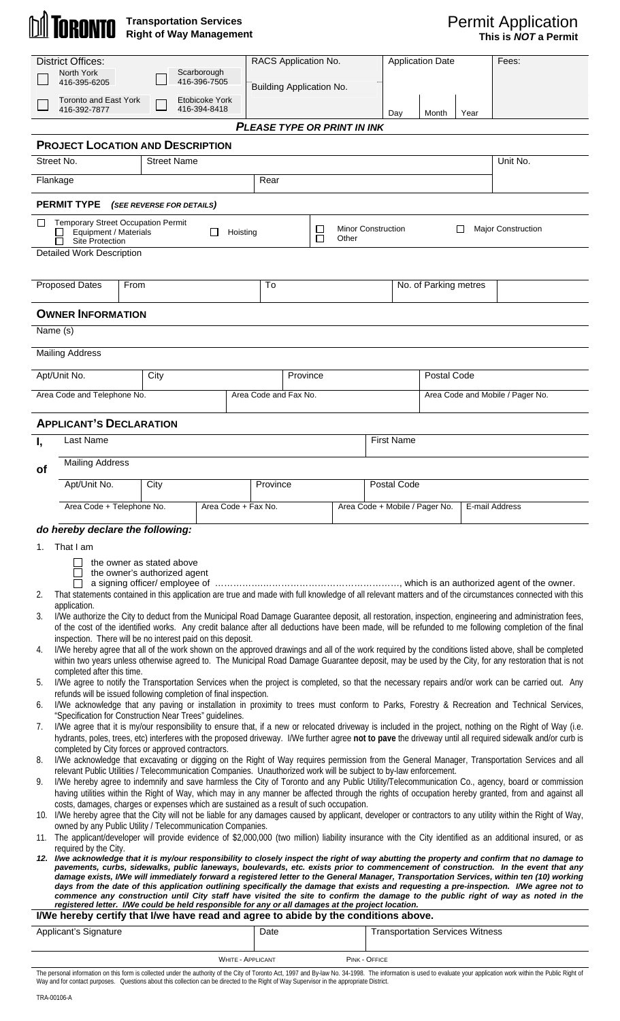## **Transportation Services Right of Way Management**

| <b>District Offices:</b>                                                                                                                                                                                                                                                                                                                                                                                                                                                                                                                                                                                                                                             |                                                                                                                                                                                                                                                                                                                                                                                                                                                                                                                                                                             |                                                           |                                |                          | RACS Application No.     |                                    |               | <b>Application Date</b>                          |      | Fees:                                                                                                                                                                                                                                                                                                       |  |
|----------------------------------------------------------------------------------------------------------------------------------------------------------------------------------------------------------------------------------------------------------------------------------------------------------------------------------------------------------------------------------------------------------------------------------------------------------------------------------------------------------------------------------------------------------------------------------------------------------------------------------------------------------------------|-----------------------------------------------------------------------------------------------------------------------------------------------------------------------------------------------------------------------------------------------------------------------------------------------------------------------------------------------------------------------------------------------------------------------------------------------------------------------------------------------------------------------------------------------------------------------------|-----------------------------------------------------------|--------------------------------|--------------------------|--------------------------|------------------------------------|---------------|--------------------------------------------------|------|-------------------------------------------------------------------------------------------------------------------------------------------------------------------------------------------------------------------------------------------------------------------------------------------------------------|--|
|                                                                                                                                                                                                                                                                                                                                                                                                                                                                                                                                                                                                                                                                      | North York<br>Scarborough<br>416-396-7505<br>416-395-6205                                                                                                                                                                                                                                                                                                                                                                                                                                                                                                                   |                                                           |                                |                          | Building Application No. |                                    |               |                                                  |      |                                                                                                                                                                                                                                                                                                             |  |
|                                                                                                                                                                                                                                                                                                                                                                                                                                                                                                                                                                                                                                                                      | <b>Toronto and East York</b><br>416-392-7877                                                                                                                                                                                                                                                                                                                                                                                                                                                                                                                                |                                                           | Etobicoke York<br>416-394-8418 |                          |                          |                                    |               | Day<br>Month                                     | Year |                                                                                                                                                                                                                                                                                                             |  |
|                                                                                                                                                                                                                                                                                                                                                                                                                                                                                                                                                                                                                                                                      |                                                                                                                                                                                                                                                                                                                                                                                                                                                                                                                                                                             |                                                           |                                |                          |                          | <b>PLEASE TYPE OR PRINT IN INK</b> |               |                                                  |      |                                                                                                                                                                                                                                                                                                             |  |
|                                                                                                                                                                                                                                                                                                                                                                                                                                                                                                                                                                                                                                                                      | <b>PROJECT LOCATION AND DESCRIPTION</b><br>Street No.                                                                                                                                                                                                                                                                                                                                                                                                                                                                                                                       | <b>Street Name</b>                                        |                                |                          |                          |                                    |               |                                                  |      | Unit No.                                                                                                                                                                                                                                                                                                    |  |
|                                                                                                                                                                                                                                                                                                                                                                                                                                                                                                                                                                                                                                                                      | Flankage                                                                                                                                                                                                                                                                                                                                                                                                                                                                                                                                                                    |                                                           |                                | Rear                     |                          |                                    |               |                                                  |      |                                                                                                                                                                                                                                                                                                             |  |
|                                                                                                                                                                                                                                                                                                                                                                                                                                                                                                                                                                                                                                                                      | <b>PERMIT TYPE</b>                                                                                                                                                                                                                                                                                                                                                                                                                                                                                                                                                          |                                                           |                                |                          |                          |                                    |               |                                                  |      |                                                                                                                                                                                                                                                                                                             |  |
|                                                                                                                                                                                                                                                                                                                                                                                                                                                                                                                                                                                                                                                                      |                                                                                                                                                                                                                                                                                                                                                                                                                                                                                                                                                                             | (SEE REVERSE FOR DETAILS)                                 |                                |                          |                          |                                    |               |                                                  |      |                                                                                                                                                                                                                                                                                                             |  |
|                                                                                                                                                                                                                                                                                                                                                                                                                                                                                                                                                                                                                                                                      | <b>Temporary Street Occupation Permit</b><br><b>Minor Construction</b><br><b>Major Construction</b><br>$\Box$<br>ப<br>Equipment / Materials<br>П<br>Hoisting<br>П<br>Other<br><b>Site Protection</b>                                                                                                                                                                                                                                                                                                                                                                        |                                                           |                                |                          |                          |                                    |               |                                                  |      |                                                                                                                                                                                                                                                                                                             |  |
| <b>Detailed Work Description</b>                                                                                                                                                                                                                                                                                                                                                                                                                                                                                                                                                                                                                                     |                                                                                                                                                                                                                                                                                                                                                                                                                                                                                                                                                                             |                                                           |                                |                          |                          |                                    |               |                                                  |      |                                                                                                                                                                                                                                                                                                             |  |
| <b>Proposed Dates</b><br>From                                                                                                                                                                                                                                                                                                                                                                                                                                                                                                                                                                                                                                        |                                                                                                                                                                                                                                                                                                                                                                                                                                                                                                                                                                             |                                                           |                                |                          | To                       |                                    |               | No. of Parking metres                            |      |                                                                                                                                                                                                                                                                                                             |  |
|                                                                                                                                                                                                                                                                                                                                                                                                                                                                                                                                                                                                                                                                      | <b>OWNER INFORMATION</b>                                                                                                                                                                                                                                                                                                                                                                                                                                                                                                                                                    |                                                           |                                |                          |                          |                                    |               |                                                  |      |                                                                                                                                                                                                                                                                                                             |  |
|                                                                                                                                                                                                                                                                                                                                                                                                                                                                                                                                                                                                                                                                      | Name (s)                                                                                                                                                                                                                                                                                                                                                                                                                                                                                                                                                                    |                                                           |                                |                          |                          |                                    |               |                                                  |      |                                                                                                                                                                                                                                                                                                             |  |
|                                                                                                                                                                                                                                                                                                                                                                                                                                                                                                                                                                                                                                                                      | <b>Mailing Address</b>                                                                                                                                                                                                                                                                                                                                                                                                                                                                                                                                                      |                                                           |                                |                          |                          |                                    |               |                                                  |      |                                                                                                                                                                                                                                                                                                             |  |
|                                                                                                                                                                                                                                                                                                                                                                                                                                                                                                                                                                                                                                                                      | Apt/Unit No.<br>City                                                                                                                                                                                                                                                                                                                                                                                                                                                                                                                                                        |                                                           |                                |                          | Province                 |                                    |               | Postal Code                                      |      |                                                                                                                                                                                                                                                                                                             |  |
|                                                                                                                                                                                                                                                                                                                                                                                                                                                                                                                                                                                                                                                                      | Area Code and Telephone No.                                                                                                                                                                                                                                                                                                                                                                                                                                                                                                                                                 |                                                           |                                | Area Code and Fax No.    |                          |                                    |               | Area Code and Mobile / Pager No.                 |      |                                                                                                                                                                                                                                                                                                             |  |
|                                                                                                                                                                                                                                                                                                                                                                                                                                                                                                                                                                                                                                                                      | <b>APPLICANT'S DECLARATION</b>                                                                                                                                                                                                                                                                                                                                                                                                                                                                                                                                              |                                                           |                                |                          |                          |                                    |               |                                                  |      |                                                                                                                                                                                                                                                                                                             |  |
| Ι,                                                                                                                                                                                                                                                                                                                                                                                                                                                                                                                                                                                                                                                                   | Last Name                                                                                                                                                                                                                                                                                                                                                                                                                                                                                                                                                                   |                                                           |                                |                          |                          |                                    |               | <b>First Name</b>                                |      |                                                                                                                                                                                                                                                                                                             |  |
| <b>of</b>                                                                                                                                                                                                                                                                                                                                                                                                                                                                                                                                                                                                                                                            | <b>Mailing Address</b>                                                                                                                                                                                                                                                                                                                                                                                                                                                                                                                                                      |                                                           |                                |                          |                          |                                    |               |                                                  |      |                                                                                                                                                                                                                                                                                                             |  |
|                                                                                                                                                                                                                                                                                                                                                                                                                                                                                                                                                                                                                                                                      | Apt/Unit No.<br>City                                                                                                                                                                                                                                                                                                                                                                                                                                                                                                                                                        |                                                           |                                |                          | Province                 |                                    |               | Postal Code                                      |      |                                                                                                                                                                                                                                                                                                             |  |
|                                                                                                                                                                                                                                                                                                                                                                                                                                                                                                                                                                                                                                                                      | Area Code + Telephone No.                                                                                                                                                                                                                                                                                                                                                                                                                                                                                                                                                   |                                                           |                                | Area Code + Fax No.      |                          |                                    |               | Area Code + Mobile / Pager No.<br>E-mail Address |      |                                                                                                                                                                                                                                                                                                             |  |
|                                                                                                                                                                                                                                                                                                                                                                                                                                                                                                                                                                                                                                                                      | do hereby declare the following:                                                                                                                                                                                                                                                                                                                                                                                                                                                                                                                                            |                                                           |                                |                          |                          |                                    |               |                                                  |      |                                                                                                                                                                                                                                                                                                             |  |
| 1.                                                                                                                                                                                                                                                                                                                                                                                                                                                                                                                                                                                                                                                                   | That I am                                                                                                                                                                                                                                                                                                                                                                                                                                                                                                                                                                   |                                                           |                                |                          |                          |                                    |               |                                                  |      |                                                                                                                                                                                                                                                                                                             |  |
|                                                                                                                                                                                                                                                                                                                                                                                                                                                                                                                                                                                                                                                                      |                                                                                                                                                                                                                                                                                                                                                                                                                                                                                                                                                                             | the owner as stated above<br>the owner's authorized agent |                                |                          |                          |                                    |               |                                                  |      |                                                                                                                                                                                                                                                                                                             |  |
| 2.                                                                                                                                                                                                                                                                                                                                                                                                                                                                                                                                                                                                                                                                   |                                                                                                                                                                                                                                                                                                                                                                                                                                                                                                                                                                             |                                                           |                                |                          |                          |                                    |               |                                                  |      | That statements contained in this application are true and made with full knowledge of all relevant matters and of the circumstances connected with this                                                                                                                                                    |  |
| 3.                                                                                                                                                                                                                                                                                                                                                                                                                                                                                                                                                                                                                                                                   | application.                                                                                                                                                                                                                                                                                                                                                                                                                                                                                                                                                                |                                                           |                                |                          |                          |                                    |               |                                                  |      | I/We authorize the City to deduct from the Municipal Road Damage Guarantee deposit, all restoration, inspection, engineering and administration fees,                                                                                                                                                       |  |
|                                                                                                                                                                                                                                                                                                                                                                                                                                                                                                                                                                                                                                                                      | inspection. There will be no interest paid on this deposit.                                                                                                                                                                                                                                                                                                                                                                                                                                                                                                                 |                                                           |                                |                          |                          |                                    |               |                                                  |      | of the cost of the identified works. Any credit balance after all deductions have been made, will be refunded to me following completion of the final                                                                                                                                                       |  |
| 4.                                                                                                                                                                                                                                                                                                                                                                                                                                                                                                                                                                                                                                                                   | completed after this time.                                                                                                                                                                                                                                                                                                                                                                                                                                                                                                                                                  |                                                           |                                |                          |                          |                                    |               |                                                  |      | I/We hereby agree that all of the work shown on the approved drawings and all of the work required by the conditions listed above, shall be completed<br>within two years unless otherwise agreed to. The Municipal Road Damage Guarantee deposit, may be used by the City, for any restoration that is not |  |
| 5.                                                                                                                                                                                                                                                                                                                                                                                                                                                                                                                                                                                                                                                                   | refunds will be issued following completion of final inspection.                                                                                                                                                                                                                                                                                                                                                                                                                                                                                                            |                                                           |                                |                          |                          |                                    |               |                                                  |      | I/We agree to notify the Transportation Services when the project is completed, so that the necessary repairs and/or work can be carried out. Any                                                                                                                                                           |  |
| 6.                                                                                                                                                                                                                                                                                                                                                                                                                                                                                                                                                                                                                                                                   |                                                                                                                                                                                                                                                                                                                                                                                                                                                                                                                                                                             |                                                           |                                |                          |                          |                                    |               |                                                  |      | I/We acknowledge that any paving or installation in proximity to trees must conform to Parks, Forestry & Recreation and Technical Services,                                                                                                                                                                 |  |
| 7.                                                                                                                                                                                                                                                                                                                                                                                                                                                                                                                                                                                                                                                                   | "Specification for Construction Near Trees" guidelines.<br>I/We agree that it is my/our responsibility to ensure that, if a new or relocated driveway is included in the project, nothing on the Right of Way (i.e.<br>hydrants, poles, trees, etc) interferes with the proposed driveway. I/We further agree not to pave the driveway until all required sidewalk and/or curb is                                                                                                                                                                                           |                                                           |                                |                          |                          |                                    |               |                                                  |      |                                                                                                                                                                                                                                                                                                             |  |
| 8.                                                                                                                                                                                                                                                                                                                                                                                                                                                                                                                                                                                                                                                                   | completed by City forces or approved contractors.                                                                                                                                                                                                                                                                                                                                                                                                                                                                                                                           |                                                           |                                |                          |                          |                                    |               |                                                  |      |                                                                                                                                                                                                                                                                                                             |  |
| 9.                                                                                                                                                                                                                                                                                                                                                                                                                                                                                                                                                                                                                                                                   | I/We acknowledge that excavating or digging on the Right of Way requires permission from the General Manager, Transportation Services and all<br>relevant Public Utilities / Telecommunication Companies. Unauthorized work will be subject to by-law enforcement.<br>I/We hereby agree to indemnify and save harmless the City of Toronto and any Public Utility/Telecommunication Co., agency, board or commission<br>having utilities within the Right of Way, which may in any manner be affected through the rights of occupation hereby granted, from and against all |                                                           |                                |                          |                          |                                    |               |                                                  |      |                                                                                                                                                                                                                                                                                                             |  |
|                                                                                                                                                                                                                                                                                                                                                                                                                                                                                                                                                                                                                                                                      | costs, damages, charges or expenses which are sustained as a result of such occupation.                                                                                                                                                                                                                                                                                                                                                                                                                                                                                     |                                                           |                                |                          |                          |                                    |               |                                                  |      | 10. I/We hereby agree that the City will not be liable for any damages caused by applicant, developer or contractors to any utility within the Right of Way,                                                                                                                                                |  |
|                                                                                                                                                                                                                                                                                                                                                                                                                                                                                                                                                                                                                                                                      | owned by any Public Utility / Telecommunication Companies.<br>11. The applicant/developer will provide evidence of \$2,000,000 (two million) liability insurance with the City identified as an additional insured, or as                                                                                                                                                                                                                                                                                                                                                   |                                                           |                                |                          |                          |                                    |               |                                                  |      |                                                                                                                                                                                                                                                                                                             |  |
|                                                                                                                                                                                                                                                                                                                                                                                                                                                                                                                                                                                                                                                                      | required by the City.<br>12. I/we acknowledge that it is my/our responsibility to closely inspect the right of way abutting the property and confirm that no damage to                                                                                                                                                                                                                                                                                                                                                                                                      |                                                           |                                |                          |                          |                                    |               |                                                  |      |                                                                                                                                                                                                                                                                                                             |  |
| pavements, curbs, sidewalks, public laneways, boulevards, etc. exists prior to commencement of construction. In the event that any<br>damage exists, I/We will immediately forward a registered letter to the General Manager, Transportation Services, within ten (10) working<br>days from the date of this application outlining specifically the damage that exists and requesting a pre-inspection. I/We agree not to<br>commence any construction until City staff have visited the site to confirm the damage to the public right of way as noted in the<br>registered letter. I/We could be held responsible for any or all damages at the project location. |                                                                                                                                                                                                                                                                                                                                                                                                                                                                                                                                                                             |                                                           |                                |                          |                          |                                    |               |                                                  |      |                                                                                                                                                                                                                                                                                                             |  |
| I/We hereby certify that I/we have read and agree to abide by the conditions above.<br>Applicant's Signature<br>Date                                                                                                                                                                                                                                                                                                                                                                                                                                                                                                                                                 |                                                                                                                                                                                                                                                                                                                                                                                                                                                                                                                                                                             |                                                           |                                |                          |                          |                                    |               | <b>Transportation Services Witness</b>           |      |                                                                                                                                                                                                                                                                                                             |  |
|                                                                                                                                                                                                                                                                                                                                                                                                                                                                                                                                                                                                                                                                      |                                                                                                                                                                                                                                                                                                                                                                                                                                                                                                                                                                             |                                                           |                                |                          |                          |                                    |               |                                                  |      |                                                                                                                                                                                                                                                                                                             |  |
|                                                                                                                                                                                                                                                                                                                                                                                                                                                                                                                                                                                                                                                                      |                                                                                                                                                                                                                                                                                                                                                                                                                                                                                                                                                                             |                                                           |                                | <b>WHITE - APPLICANT</b> |                          |                                    | PINK - OFFICE |                                                  |      |                                                                                                                                                                                                                                                                                                             |  |

The personal information on this form is collected under the authority of the City of Toronto Act, 1997 and By-law No. 34-1998. The information is used to evaluate your application work within the Public Right of Way and for contact purposes. Questions about this collection can be directed to the Right of Way Supervisor in the appropriate District.